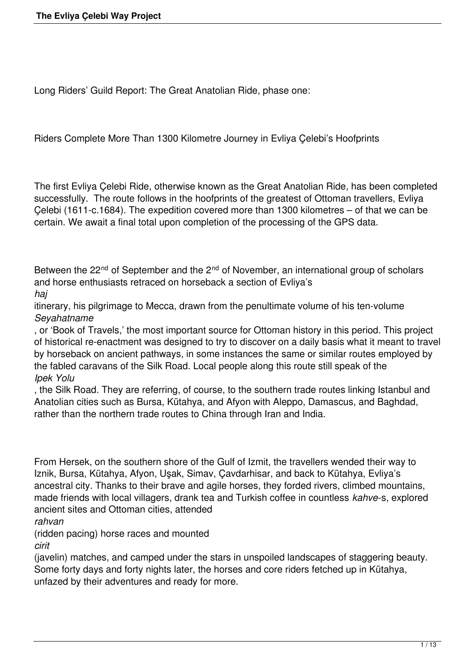Long Riders' Guild Report: The Great Anatolian Ride, phase one:

Riders Complete More Than 1300 Kilometre Journey in Evliya Çelebi's Hoofprints

The first Evliya Çelebi Ride, otherwise known as the Great Anatolian Ride, has been completed successfully. The route follows in the hoofprints of the greatest of Ottoman travellers, Evliya Çelebi (1611-c.1684). The expedition covered more than 1300 kilometres – of that we can be certain. We await a final total upon completion of the processing of the GPS data.

Between the 22<sup>nd</sup> of September and the 2<sup>nd</sup> of November, an international group of scholars and horse enthusiasts retraced on horseback a section of Evliya's *haj*

itinerary, his pilgrimage to Mecca, drawn from the penultimate volume of his ten-volume *Seyahatname*

, or 'Book of Travels,' the most important source for Ottoman history in this period. This project of historical re-enactment was designed to try to discover on a daily basis what it meant to travel by horseback on ancient pathways, in some instances the same or similar routes employed by the fabled caravans of the Silk Road. Local people along this route still speak of the *Ipek Yolu*

, the Silk Road. They are referring, of course, to the southern trade routes linking Istanbul and Anatolian cities such as Bursa, Kütahya, and Afyon with Aleppo, Damascus, and Baghdad, rather than the northern trade routes to China through Iran and India.

From Hersek, on the southern shore of the Gulf of Izmit, the travellers wended their way to Iznik, Bursa, Kütahya, Afyon, Uşak, Simav, Çavdarhisar, and back to Kütahya, Evliya's ancestral city. Thanks to their brave and agile horses, they forded rivers, climbed mountains, made friends with local villagers, drank tea and Turkish coffee in countless *kahve*-s, explored ancient sites and Ottoman cities, attended

*rahvan*

(ridden pacing) horse races and mounted *cirit*

(javelin) matches, and camped under the stars in unspoiled landscapes of staggering beauty. Some forty days and forty nights later, the horses and core riders fetched up in Kütahya, unfazed by their adventures and ready for more.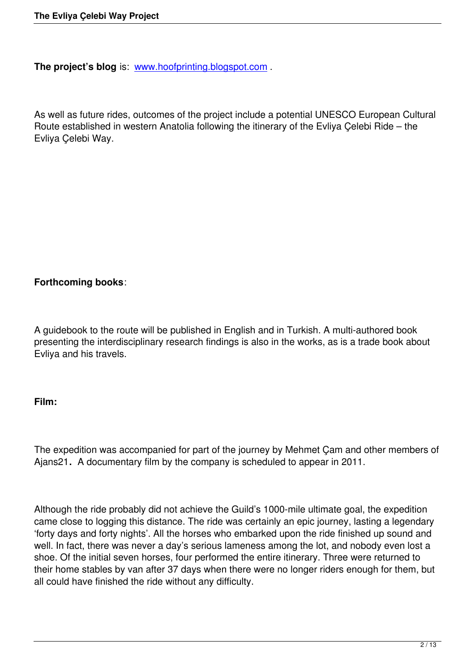**The project's blog** is: www.hoofprinting.blogspot.com.

As well as future rides, [outcomes of the project include](http://www.hoofprinting.blogspot.com/) a potential UNESCO European Cultural Route established in western Anatolia following the itinerary of the Evliya Çelebi Ride – the Evliya Çelebi Way.

# **Forthcoming books**:

A guidebook to the route will be published in English and in Turkish. A multi-authored book presenting the interdisciplinary research findings is also in the works, as is a trade book about Evliya and his travels.

## **Film:**

The expedition was accompanied for part of the journey by Mehmet Çam and other members of Ajans21**.** A documentary film by the company is scheduled to appear in 2011.

Although the ride probably did not achieve the Guild's 1000-mile ultimate goal, the expedition came close to logging this distance. The ride was certainly an epic journey, lasting a legendary 'forty days and forty nights'. All the horses who embarked upon the ride finished up sound and well. In fact, there was never a day's serious lameness among the lot, and nobody even lost a shoe. Of the initial seven horses, four performed the entire itinerary. Three were returned to their home stables by van after 37 days when there were no longer riders enough for them, but all could have finished the ride without any difficulty.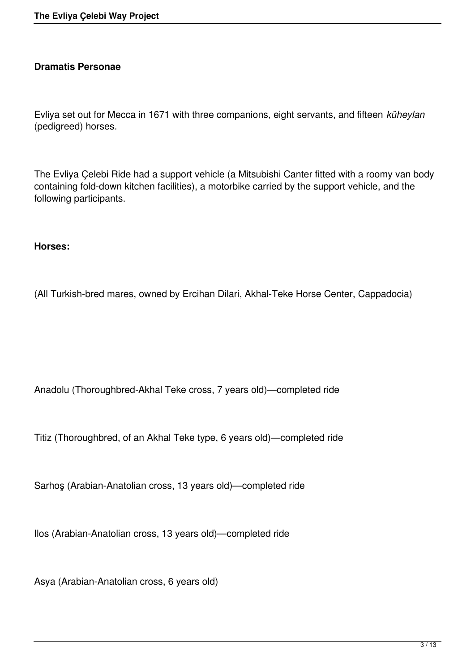## **Dramatis Personae**

Evliya set out for Mecca in 1671 with three companions, eight servants, and fifteen *küheylan* (pedigreed) horses.

The Evliya Çelebi Ride had a support vehicle (a Mitsubishi Canter fitted with a roomy van body containing fold-down kitchen facilities), a motorbike carried by the support vehicle, and the following participants.

#### **Horses:**

(All Turkish-bred mares, owned by Ercihan Dilari, Akhal-Teke Horse Center, Cappadocia)

Anadolu (Thoroughbred-Akhal Teke cross, 7 years old)—completed ride

Titiz (Thoroughbred, of an Akhal Teke type, 6 years old)—completed ride

Sarhoş (Arabian-Anatolian cross, 13 years old)—completed ride

Ilos (Arabian-Anatolian cross, 13 years old)—completed ride

Asya (Arabian-Anatolian cross, 6 years old)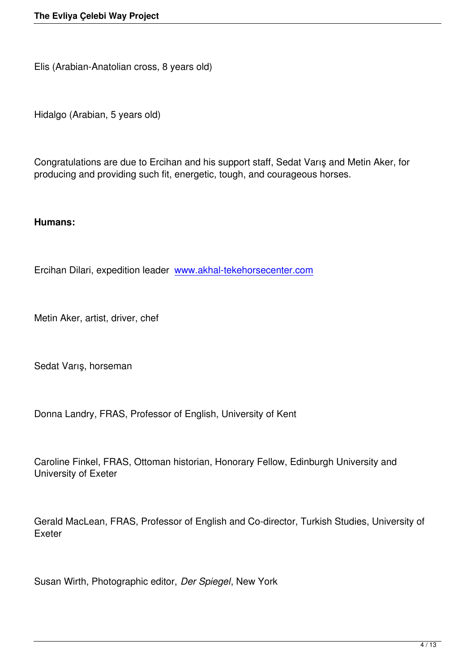Elis (Arabian-Anatolian cross, 8 years old)

Hidalgo (Arabian, 5 years old)

Congratulations are due to Ercihan and his support staff, Sedat Varış and Metin Aker, for producing and providing such fit, energetic, tough, and courageous horses.

#### **Humans:**

Ercihan Dilari, expedition leader www.akhal-tekehorsecenter.com

Metin Aker, artist, driver, chef

Sedat Varış, horseman

Donna Landry, FRAS, Professor of English, University of Kent

Caroline Finkel, FRAS, Ottoman historian, Honorary Fellow, Edinburgh University and University of Exeter

Gerald MacLean, FRAS, Professor of English and Co-director, Turkish Studies, University of Exeter

Susan Wirth, Photographic editor, *Der Spiegel*, New York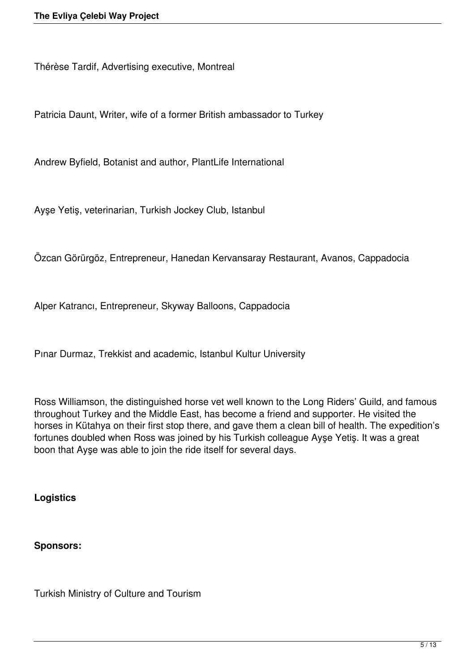Thérèse Tardif, Advertising executive, Montreal

Patricia Daunt, Writer, wife of a former British ambassador to Turkey

Andrew Byfield, Botanist and author, PlantLife International

Ayşe Yetiş, veterinarian, Turkish Jockey Club, Istanbul

Özcan Görürgöz, Entrepreneur, Hanedan Kervansaray Restaurant, Avanos, Cappadocia

Alper Katrancı, Entrepreneur, Skyway Balloons, Cappadocia

Pınar Durmaz, Trekkist and academic, Istanbul Kultur University

Ross Williamson, the distinguished horse vet well known to the Long Riders' Guild, and famous throughout Turkey and the Middle East, has become a friend and supporter. He visited the horses in Kütahya on their first stop there, and gave them a clean bill of health. The expedition's fortunes doubled when Ross was joined by his Turkish colleague Ayşe Yetiş. It was a great boon that Ayşe was able to join the ride itself for several days.

**Logistics**

#### **Sponsors:**

Turkish Ministry of Culture and Tourism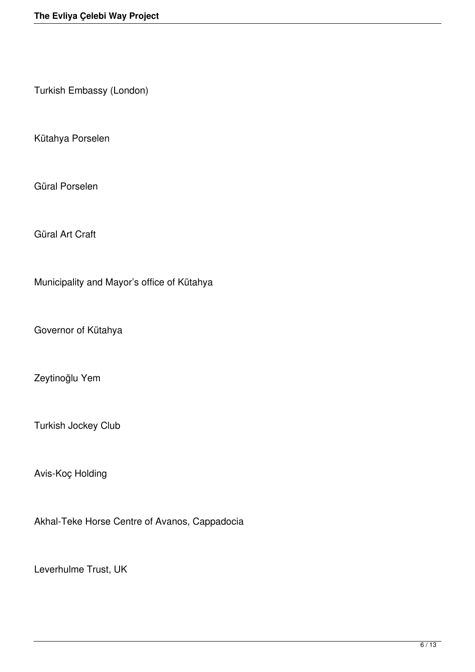Turkish Embassy (London)

Kütahya Porselen

Güral Porselen

Güral Art Craft

Municipality and Mayor's office of Kütahya

Governor of Kütahya

Zeytinoğlu Yem

Turkish Jockey Club

Avis-Koç Holding

Akhal-Teke Horse Centre of Avanos, Cappadocia

Leverhulme Trust, UK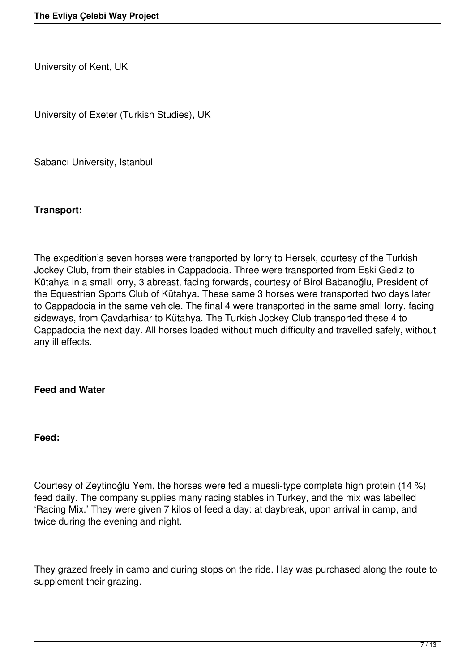University of Kent, UK

University of Exeter (Turkish Studies), UK

Sabancı University, Istanbul

#### **Transport:**

The expedition's seven horses were transported by lorry to Hersek, courtesy of the Turkish Jockey Club, from their stables in Cappadocia. Three were transported from Eski Gediz to Kütahya in a small lorry, 3 abreast, facing forwards, courtesy of Birol Babanoğlu, President of the Equestrian Sports Club of Kütahya. These same 3 horses were transported two days later to Equippedicial spents shown in the same vehicle. The final 4 were transported in the same small lorry, facing sideways, from Çavdarhisar to Kütahya. The Turkish Jockey Club transported these 4 to Cappadocia the next day. All horses loaded without much difficulty and travelled safely, without any ill effects.

#### **Feed and Water**

#### **Feed:**

Courtesy of Zeytinoğlu Yem, the horses were fed a muesli-type complete high protein (14 %) feed daily. The company supplies many racing stables in Turkey, and the mix was labelled 'Racing Mix.' They were given 7 kilos of feed a day: at daybreak, upon arrival in camp, and twice during the evening and night.

They grazed freely in camp and during stops on the ride. Hay was purchased along the route to supplement their grazing.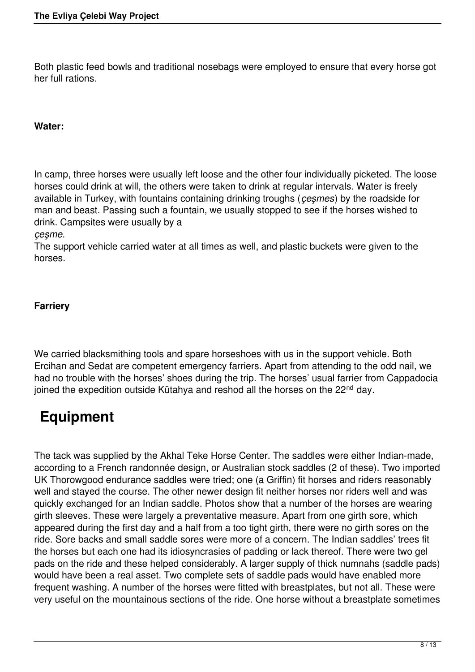Both plastic feed bowls and traditional nosebags were employed to ensure that every horse got her full rations.

## **Water:**

In camp, three horses were usually left loose and the other four individually picketed. The loose horses could drink at will, the others were taken to drink at regular intervals. Water is freely available in Turkey, with fountains containing drinking troughs (*çeşmes*) by the roadside for man and beast. Passing such a fountain, we usually stopped to see if the horses wished to drink. Campsites were usually by a

#### *çeşme.*

The support vehicle carried water at all times as well, and plastic buckets were given to the horses.

## **Farriery**

We carried blacksmithing tools and spare horseshoes with us in the support vehicle. Both Ercihan and Sedat are competent emergency farriers. Apart from attending to the odd nail, we had no trouble with the horses' shoes during the trip. The horses' usual farrier from Cappadocia joined the expedition outside Kütahya and reshod all the horses on the 22<sup>nd</sup> day.

# **Equipment**

The tack was supplied by the Akhal Teke Horse Center. The saddles were either Indian-made, according to a French randonnée design, or Australian stock saddles (2 of these). Two imported UK Thorowgood endurance saddles were tried; one (a Griffin) fit horses and riders reasonably well and stayed the course. The other newer design fit neither horses nor riders well and was quickly exchanged for an Indian saddle. Photos show that a number of the horses are wearing girth sleeves. These were largely a preventative measure. Apart from one girth sore, which appeared during the first day and a half from a too tight girth, there were no girth sores on the ride. Sore backs and small saddle sores were more of a concern. The Indian saddles' trees fit the horses but each one had its idiosyncrasies of padding or lack thereof. There were two gel pads on the ride and these helped considerably. A larger supply of thick numnahs (saddle pads) would have been a real asset. Two complete sets of saddle pads would have enabled more frequent washing. A number of the horses were fitted with breastplates, but not all. These were very useful on the mountainous sections of the ride. One horse without a breastplate sometimes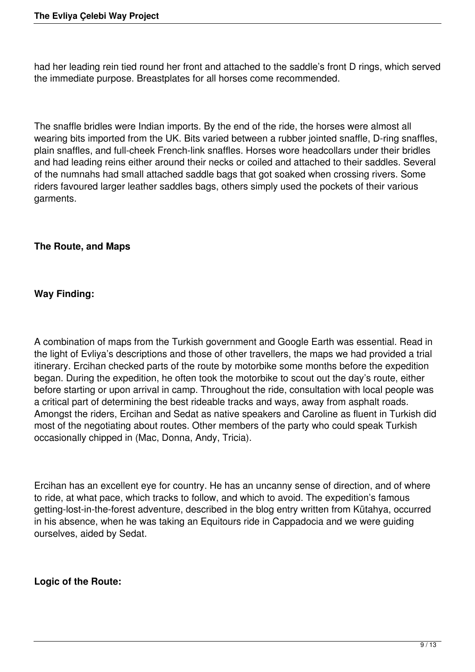had her leading rein tied round her front and attached to the saddle's front D rings, which served the immediate purpose. Breastplates for all horses come recommended.

The snaffle bridles were Indian imports. By the end of the ride, the horses were almost all wearing bits imported from the UK. Bits varied between a rubber jointed snaffle, D-ring snaffles, plain snaffles, and full-cheek French-link snaffles. Horses wore headcollars under their bridles and had leading reins either around their necks or coiled and attached to their saddles. Several of the numnahs had small attached saddle bags that got soaked when crossing rivers. Some riders favoured larger leather saddles bags, others simply used the pockets of their various garments.

# **The Route, and Maps**

# **Way Finding:**

A combination of maps from the Turkish government and Google Earth was essential. Read in the light of Evliya's descriptions and those of other travellers, the maps we had provided a trial itinerary. Ercihan checked parts of the route by motorbike some months before the expedition began. During the expedition, he often took the motorbike to scout out the day's route, either before starting or upon arrival in camp. Throughout the ride, consultation with local people was a critical part of determining the best rideable tracks and ways, away from asphalt roads. Amongst the riders, Ercihan and Sedat as native speakers and Caroline as fluent in Turkish did most of the negotiating about routes. Other members of the party who could speak Turkish occasionally chipped in (Mac, Donna, Andy, Tricia).

Ercihan has an excellent eye for country. He has an uncanny sense of direction, and of where to ride, at what pace, which tracks to follow, and which to avoid. The expedition's famous getting-lost-in-the-forest adventure, described in the blog entry written from Kütahya, occurred in his absence, when he was taking an Equitours ride in Cappadocia and we were guiding ourselves, aided by Sedat.

# **Logic of the Route:**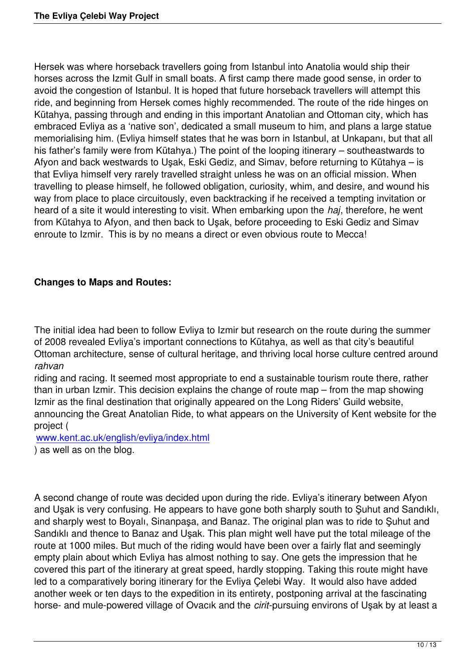Hersek was where horseback travellers going from Istanbul into Anatolia would ship their horses across the Izmit Gulf in small boats. A first camp there made good sense, in order to avoid the congestion of Istanbul. It is hoped that future horseback travellers will attempt this ride, and beginning from Hersek comes highly recommended. The route of the ride hinges on Kütahya, passing through and ending in this important Anatolian and Ottoman city, which has embraced Evliya as a 'native son', dedicated a small museum to him, and plans a large statue memorialising him. (Evliya himself states that he was born in Istanbul, at Unkapanı, but that all his father's family were from Kütahya.) The point of the looping itinerary – southeastwards to Afyon and back westwards to Uşak, Eski Gediz, and Simav, before returning to Kütahya – is that Evliya himself very rarely travelled straight unless he was on an official mission. When travelling to please himself, he followed obligation, curiosity, whim, and desire, and wound his way from place to place circuitously, even backtracking if he received a tempting invitation or heard of a site it would interesting to visit. When embarking upon the *haj*, therefore, he went from Kütahya to Afyon, and then back to Uşak, before proceeding to Eski Gediz and Simav enroute to Izmir. This is by no means a direct or even obvious route to Mecca!

# **Changes to Maps and Routes:**

The initial idea had been to follow Evliya to Izmir but research on the route during the summer of 2008 revealed Evliya's important connections to Kütahya, as well as that city's beautiful Ottoman architecture, sense of cultural heritage, and thriving local horse culture centred around *rahvan*

riding and racing. It seemed most appropriate to end a sustainable tourism route there, rather than in urban Izmir. This decision explains the change of route map – from the map showing Izmir as the final destination that originally appeared on the Long Riders' Guild website, announcing the Great Anatolian Ride, to what appears on the University of Kent website for the project (

www.kent.ac.uk/english/evliya/index.html ) as well as on the blog.

A second change of route was decided upon during the ride. Evliya's itinerary between Afyon and Uşak is very confusing. He appears to have gone both sharply south to Şuhut and Sandıklı, and sharply west to Boyalı, Sinanpaşa, and Banaz. The original plan was to ride to Şuhut and Sandıklı and thence to Banaz and Uşak. This plan might well have put the total mileage of the route at 1000 miles. But much of the riding would have been over a fairly flat and seemingly empty plain about which Evliya has almost nothing to say. One gets the impression that he covered this part of the itinerary at great speed, hardly stopping. Taking this route might have led to a comparatively boring itinerary for the Evliya Çelebi Way. It would also have added another week or ten days to the expedition in its entirety, postponing arrival at the fascinating horse- and mule-powered village of Ovacık and the *cirit*-pursuing environs of Uşak by at least a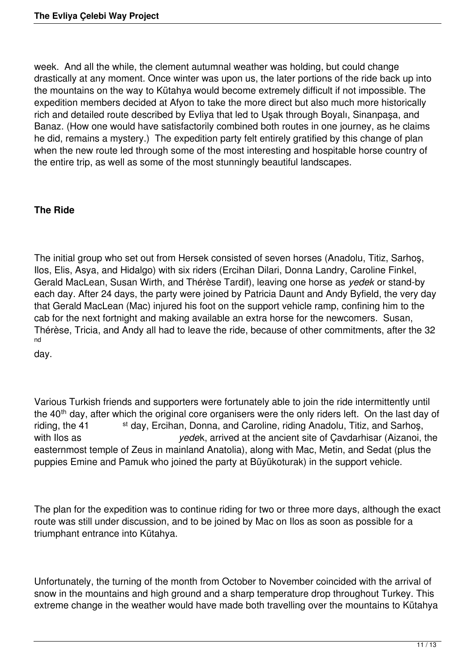week. And all the while, the clement autumnal weather was holding, but could change drastically at any moment. Once winter was upon us, the later portions of the ride back up into the mountains on the way to Kütahya would become extremely difficult if not impossible. The expedition members decided at Afyon to take the more direct but also much more historically rich and detailed route described by Evliya that led to Uşak through Boyalı, Sinanpaşa, and Banaz. (How one would have satisfactorily combined both routes in one journey, as he claims he did, remains a mystery.) The expedition party felt entirely gratified by this change of plan when the new route led through some of the most interesting and hospitable horse country of the entire trip, as well as some of the most stunningly beautiful landscapes.

## **The Ride**

The initial group who set out from Hersek consisted of seven horses (Anadolu, Titiz, Sarhoş, Ilos, Elis, Asya, and Hidalgo) with six riders (Ercihan Dilari, Donna Landry, Caroline Finkel, Gerald MacLean, Susan Wirth, and Thérèse Tardif), leaving one horse as *yedek* or stand-by each day. After 24 days, the party were joined by Patricia Daunt and Andy Byfield, the very day that Gerald MacLean (Mac) injured his foot on the support vehicle ramp, confining him to the cab for the next fortnight and making available an extra horse for the newcomers. Susan, Thérèse, Tricia, and Andy all had to leave the ride, because of other commitments, after the 32 nd

day.

Various Turkish friends and supporters were fortunately able to join the ride intermittently until the 40<sup>th</sup> day, after which the original core organisers were the only riders left. On the last day of riding, the 41 st day, Ercihan, Donna, and Caroline, riding Anadolu, Titiz, and Sarhos, with Ilos as *yede*k, arrived at the ancient site of Çavdarhisar (Aizanoi, the easternmost temple of Zeus in mainland Anatolia), along with Mac, Metin, and Sedat (plus the puppies Emine and Pamuk who joined the party at Büyükoturak) in the support vehicle.

The plan for the expedition was to continue riding for two or three more days, although the exact route was still under discussion, and to be joined by Mac on Ilos as soon as possible for a triumphant entrance into Kütahya.

Unfortunately, the turning of the month from October to November coincided with the arrival of snow in the mountains and high ground and a sharp temperature drop throughout Turkey. This extreme change in the weather would have made both travelling over the mountains to Kütahya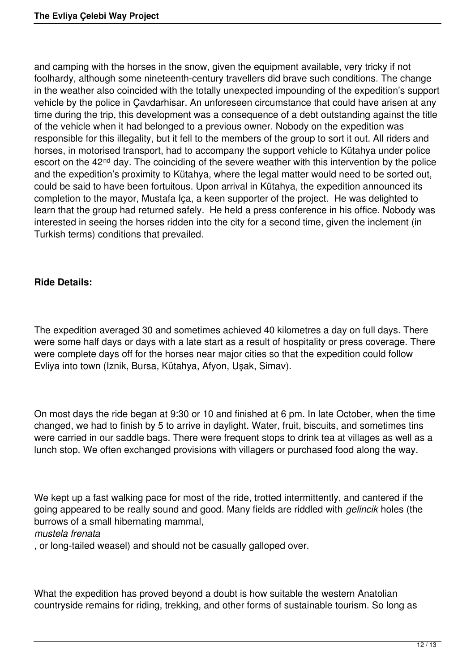and camping with the horses in the snow, given the equipment available, very tricky if not foolhardy, although some nineteenth-century travellers did brave such conditions. The change in the weather also coincided with the totally unexpected impounding of the expedition's support vehicle by the police in Çavdarhisar. An unforeseen circumstance that could have arisen at any time during the trip, this development was a consequence of a debt outstanding against the title of the vehicle when it had belonged to a previous owner. Nobody on the expedition was responsible for this illegality, but it fell to the members of the group to sort it out. All riders and horses, in motorised transport, had to accompany the support vehicle to Kütahya under police escort on the 42<sup>nd</sup> day. The coinciding of the severe weather with this intervention by the police and the expedition's proximity to Kütahya, where the legal matter would need to be sorted out, could be said to have been fortuitous. Upon arrival in Kütahya, the expedition announced its completion to the mayor, Mustafa Iça, a keen supporter of the project. He was delighted to learn that the group had returned safely. He held a press conference in his office. Nobody was interested in seeing the horses ridden into the city for a second time, given the inclement (in Turkish terms) conditions that prevailed.

# **Ride Details:**

The expedition averaged 30 and sometimes achieved 40 kilometres a day on full days. There were some half days or days with a late start as a result of hospitality or press coverage. There were complete days off for the horses near major cities so that the expedition could follow Evliya into town (Iznik, Bursa, Kütahya, Afyon, Uşak, Simav).

On most days the ride began at 9:30 or 10 and finished at 6 pm. In late October, when the time changed, we had to finish by 5 to arrive in daylight. Water, fruit, biscuits, and sometimes tins were carried in our saddle bags. There were frequent stops to drink tea at villages as well as a lunch stop. We often exchanged provisions with villagers or purchased food along the way.

We kept up a fast walking pace for most of the ride, trotted intermittently, and cantered if the going appeared to be really sound and good. Many fields are riddled with *gelincik* holes (the burrows of a small hibernating mammal,

## *mustela frenata*

, or long-tailed weasel) and should not be casually galloped over.

What the expedition has proved beyond a doubt is how suitable the western Anatolian countryside remains for riding, trekking, and other forms of sustainable tourism. So long as